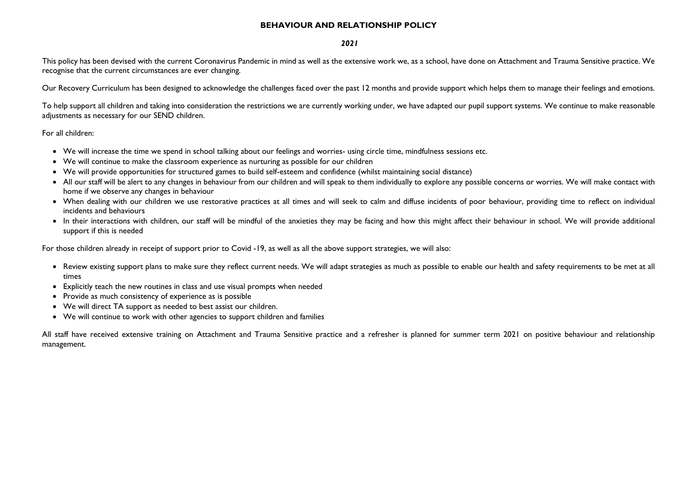### **BEHAVIOUR AND RELATIONSHIP POLICY**

*2021*

This policy has been devised with the current Coronavirus Pandemic in mind as well as the extensive work we, as a school, have done on Attachment and Trauma Sensitive practice. We recognise that the current circumstances are ever changing.

Our Recovery Curriculum has been designed to acknowledge the challenges faced over the past 12 months and provide support which helps them to manage their feelings and emotions.

To help support all children and taking into consideration the restrictions we are currently working under, we have adapted our pupil support systems. We continue to make reasonable adjustments as necessary for our SEND children.

For all children:

- We will increase the time we spend in school talking about our feelings and worries- using circle time, mindfulness sessions etc.
- We will continue to make the classroom experience as nurturing as possible for our children
- We will provide opportunities for structured games to build self-esteem and confidence (whilst maintaining social distance)
- All our staff will be alert to any changes in behaviour from our children and will speak to them individually to explore any possible concerns or worries. We will make contact with home if we observe any changes in behaviour
- When dealing with our children we use restorative practices at all times and will seek to calm and diffuse incidents of poor behaviour, providing time to reflect on individual incidents and behaviours
- In their interactions with children, our staff will be mindful of the anxieties they may be facing and how this might affect their behaviour in school. We will provide additional support if this is needed

For those children already in receipt of support prior to Covid -19, as well as all the above support strategies, we will also:

- Review existing support plans to make sure they reflect current needs. We will adapt strategies as much as possible to enable our health and safety requirements to be met at all times
- Explicitly teach the new routines in class and use visual prompts when needed
- Provide as much consistency of experience as is possible
- We will direct TA support as needed to best assist our children.
- We will continue to work with other agencies to support children and families

All staff have received extensive training on Attachment and Trauma Sensitive practice and a refresher is planned for summer term 2021 on positive behaviour and relationship management.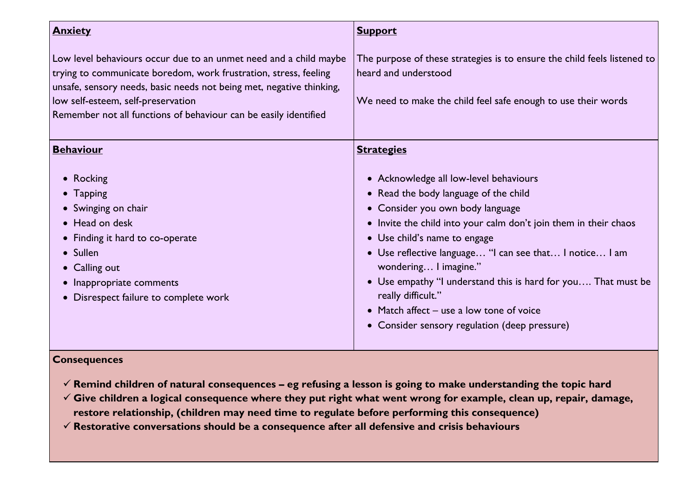| <u>Anxiety</u>                                                                                                                                                                                                                                                                                                          | <b>Support</b>                                                                                                                                                                                                                                                                                                                                                                                                                                       |
|-------------------------------------------------------------------------------------------------------------------------------------------------------------------------------------------------------------------------------------------------------------------------------------------------------------------------|------------------------------------------------------------------------------------------------------------------------------------------------------------------------------------------------------------------------------------------------------------------------------------------------------------------------------------------------------------------------------------------------------------------------------------------------------|
| Low level behaviours occur due to an unmet need and a child maybe<br>trying to communicate boredom, work frustration, stress, feeling<br>unsafe, sensory needs, basic needs not being met, negative thinking,<br>low self-esteem, self-preservation<br>Remember not all functions of behaviour can be easily identified | The purpose of these strategies is to ensur<br>heard and understood<br>We need to make the child feel safe enoug                                                                                                                                                                                                                                                                                                                                     |
| <b>Behaviour</b><br>• Rocking<br>• Tapping<br>• Swinging on chair<br>• Head on desk<br>• Finding it hard to co-operate<br>• Sullen<br>• Calling out<br>Inappropriate comments<br>Disrespect failure to complete work                                                                                                    | <b>Strategies</b><br>• Acknowledge all low-level behaviours<br>• Read the body language of the child<br>• Consider you own body language<br>• Invite the child into your calm don't jo<br>• Use child's name to engage<br>• Use reflective language "I can see the<br>wondering I imagine."<br>• Use empathy "I understand this is hard<br>really difficult."<br>• Match affect – use a low tone of voice<br>• Consider sensory regulation (deep pre |

# **Consequences**

- ✓ **Remind children of natural consequences – eg refusing a lesson is going to make understanding the topic hard**
- ✓ **Give children a logical consequence where they put right what went wrong for example, clean up, repair, damage, restore relationship, (children may need time to regulate before performing this consequence)**
- ✓ **Restorative conversations should be a consequence after all defensive and crisis behaviours**

sure the child feels listened to Jugh to use their words join them in their chaos that… I notice… I am  $\alpha$  ard for you…. That must be pressure)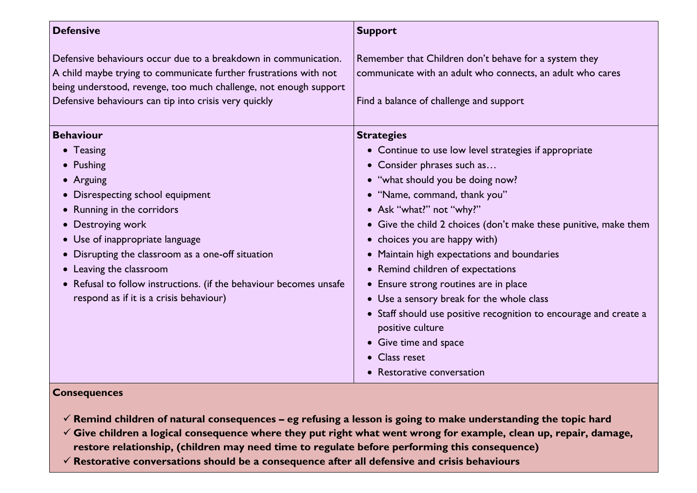| <b>Defensive</b>                                                                                                                                                                                                                                                                                                                                | <b>Support</b>                                                                                                                                                                                                                                                                                                                                                                                                                                                                               |
|-------------------------------------------------------------------------------------------------------------------------------------------------------------------------------------------------------------------------------------------------------------------------------------------------------------------------------------------------|----------------------------------------------------------------------------------------------------------------------------------------------------------------------------------------------------------------------------------------------------------------------------------------------------------------------------------------------------------------------------------------------------------------------------------------------------------------------------------------------|
| Defensive behaviours occur due to a breakdown in communication.<br>A child maybe trying to communicate further frustrations with not<br>being understood, revenge, too much challenge, not enough support<br>Defensive behaviours can tip into crisis very quickly                                                                              | Remember that Children don't behave for a<br>communicate with an adult who connects, are<br>Find a balance of challenge and support                                                                                                                                                                                                                                                                                                                                                          |
| <b>Behaviour</b><br>• Teasing                                                                                                                                                                                                                                                                                                                   | <b>Strategies</b><br>• Continue to use low level strategies if a                                                                                                                                                                                                                                                                                                                                                                                                                             |
| • Pushing<br>• Arguing<br>• Disrespecting school equipment<br>• Running in the corridors<br>• Destroying work<br>• Use of inappropriate language<br>• Disrupting the classroom as a one-off situation<br>• Leaving the classroom<br>Refusal to follow instructions. (if the behaviour becomes unsafe<br>respond as if it is a crisis behaviour) | • Consider phrases such as<br>• "what should you be doing now?<br>• "Name, command, thank you"<br>• Ask "what?" not "why?"<br>• Give the child 2 choices (don't make the<br>• choices you are happy with)<br>• Maintain high expectations and boundar<br>• Remind children of expectations<br>• Ensure strong routines are in place<br>• Use a sensory break for the whole class<br>• Staff should use positive recognition to<br>positive culture<br>• Give time and space<br>• Class reset |
|                                                                                                                                                                                                                                                                                                                                                 | • Restorative conversation                                                                                                                                                                                                                                                                                                                                                                                                                                                                   |

- ✓ **Remind children of natural consequences – eg refusing a lesson is going to make understanding the topic hard**
- ✓ **Give children a logical consequence where they put right what went wrong for example, clean up, repair, damage, restore relationship, (children may need time to regulate before performing this consequence)**
- ✓ **Restorative conversations should be a consequence after all defensive and crisis behaviours**

or a system they s, an adult who cares

if appropriate

e these punitive, make them

ndaries

to encourage and create a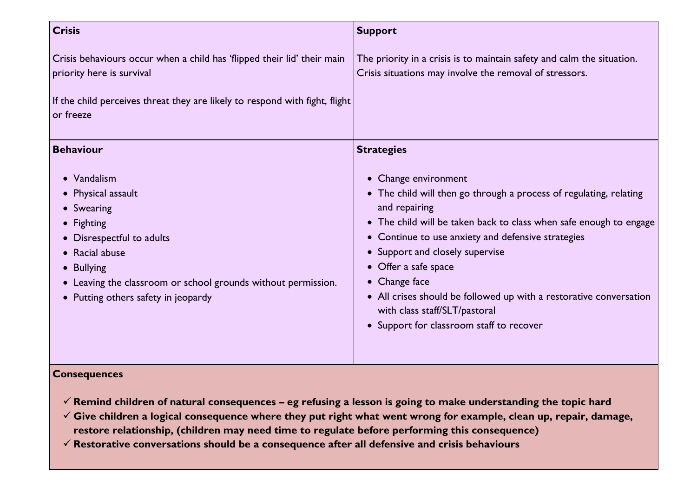| Crisis                                                                                                                                                                                           | <b>Support</b>                                                                                                                                                                                                                                        |
|--------------------------------------------------------------------------------------------------------------------------------------------------------------------------------------------------|-------------------------------------------------------------------------------------------------------------------------------------------------------------------------------------------------------------------------------------------------------|
| Crisis behaviours occur when a child has 'flipped their lid' their main<br>priority here is survival<br>If the child perceives threat they are likely to respond with fight, flight<br>or freeze | The priority in a crisis is to maintain safety:<br>Crisis situations may involve the removal of                                                                                                                                                       |
| <b>Behaviour</b><br>• Vandalism<br>• Physical assault<br>• Swearing<br>$\bullet$ Fighting                                                                                                        | <b>Strategies</b><br>• Change environment<br>• The child will then go through a proce<br>and repairing<br>• The child will be taken back to class w                                                                                                   |
| Disrespectful to adults<br>• Racial abuse<br>• Bullying<br>• Leaving the classroom or school grounds without permission.<br>• Putting others safety in jeopardy                                  | • Continue to use anxiety and defensive<br>• Support and closely supervise<br>• Offer a safe space<br>$\bullet$ Change face<br>• All crises should be followed up with a<br>with class staff/SLT/pastoral<br>• Support for classroom staff to recover |

# **Consequences**

- ✓ **Remind children of natural consequences – eg refusing a lesson is going to make understanding the topic hard**
- ✓ **Give children a logical consequence where they put right what went wrong for example, clean up, repair, damage, restore relationship, (children may need time to regulate before performing this consequence)**
- ✓ **Restorative conversations should be a consequence after all defensive and crisis behaviours**

ty and calm the situation. I of stressors.

bess of regulating, relating

when safe enough to engage ive strategies

th a restorative conversation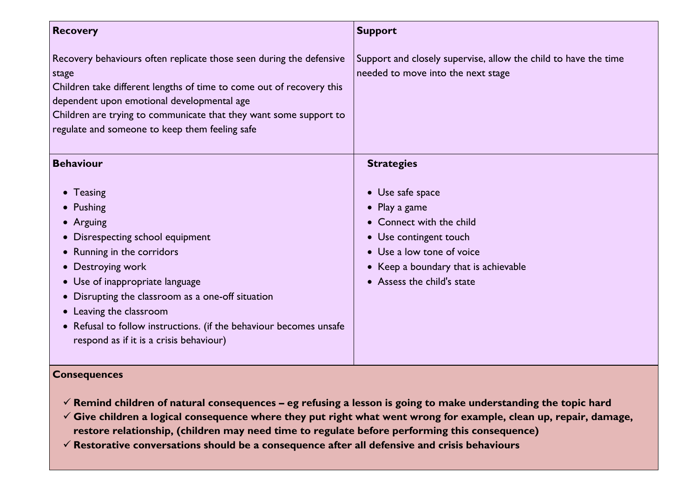| <b>Recovery</b>                                                                                                                                                                                                                                                                                                                                                               | <b>Support</b>                                                                                                                                                                                                |
|-------------------------------------------------------------------------------------------------------------------------------------------------------------------------------------------------------------------------------------------------------------------------------------------------------------------------------------------------------------------------------|---------------------------------------------------------------------------------------------------------------------------------------------------------------------------------------------------------------|
| Recovery behaviours often replicate those seen during the defensive<br>stage<br>Children take different lengths of time to come out of recovery this<br>dependent upon emotional developmental age<br>Children are trying to communicate that they want some support to<br>regulate and someone to keep them feeling safe                                                     | Support and closely supervise, allow the<br>needed to move into the next stage                                                                                                                                |
| <b>Behaviour</b><br>• Teasing<br>• Pushing<br>• Arguing<br>Disrespecting school equipment<br><b>Running in the corridors</b><br>• Destroying work<br>Use of inappropriate language<br>Disrupting the classroom as a one-off situation<br>Leaving the classroom<br>Refusal to follow instructions. (if the behaviour becomes unsafe<br>respond as if it is a crisis behaviour) | <b>Strategies</b><br>• Use safe space<br>• Play a game<br>• Connect with the child<br>• Use contingent touch<br>• Use a low tone of voice<br>• Keep a boundary that is achievable<br>Assess the child's state |

# **Consequences**

- ✓ **Remind children of natural consequences – eg refusing a lesson is going to make understanding the topic hard**
- ✓ **Give children a logical consequence where they put right what went wrong for example, clean up, repair, damage, restore relationship, (children may need time to regulate before performing this consequence)**
- ✓ **Restorative conversations should be a consequence after all defensive and crisis behaviours**

# child to have the time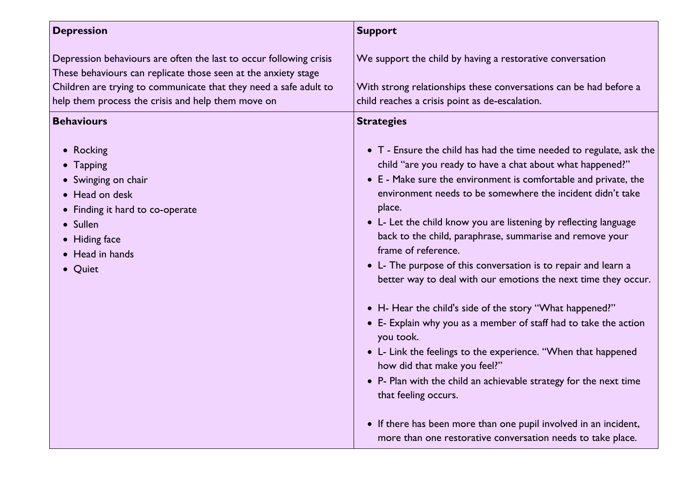| <b>Depression</b>                                                                                                                                                                                                                                               | <b>Support</b>                                                                                                                                                                                                                                                                                                                                                                                                                                                                                                                                                                                                                                                                                                               |
|-----------------------------------------------------------------------------------------------------------------------------------------------------------------------------------------------------------------------------------------------------------------|------------------------------------------------------------------------------------------------------------------------------------------------------------------------------------------------------------------------------------------------------------------------------------------------------------------------------------------------------------------------------------------------------------------------------------------------------------------------------------------------------------------------------------------------------------------------------------------------------------------------------------------------------------------------------------------------------------------------------|
| Depression behaviours are often the last to occur following crisis<br>These behaviours can replicate those seen at the anxiety stage<br>Children are trying to communicate that they need a safe adult to<br>help them process the crisis and help them move on | We support the child by having a restorativ<br>With strong relationships these conversation<br>child reaches a crisis point as de-escalation.                                                                                                                                                                                                                                                                                                                                                                                                                                                                                                                                                                                |
| <b>Behaviours</b>                                                                                                                                                                                                                                               | <b>Strategies</b>                                                                                                                                                                                                                                                                                                                                                                                                                                                                                                                                                                                                                                                                                                            |
| • Rocking<br>• Tapping<br>• Swinging on chair<br>• Head on desk<br>• Finding it hard to co-operate<br>• Sullen<br>• Hiding face<br>• Head in hands<br>• Quiet                                                                                                   | • T - Ensure the child has had the time r<br>child "are you ready to have a chat abe<br>• E - Make sure the environment is com<br>environment needs to be somewhere<br>place.<br>• L- Let the child know you are listening<br>back to the child, paraphrase, summari<br>frame of reference.<br>• L- The purpose of this conversation is<br>better way to deal with our emotions<br>• H- Hear the child's side of the story "<br>• E- Explain why you as a member of sta<br>you took.<br>• L- Link the feelings to the experience.<br>how did that make you feel?"<br>• P- Plan with the child an achievable str<br>that feeling occurs.<br>• If there has been more than one pupil<br>more than one restorative conversation |

## ative conversation

ations can be had before a

e needed to regulate, ask the about what happened?" omfortable and private, the re the incident didn't take

ing by reflecting language harise and remove your

is to repair and learn a ins the next time they occur.

"What happened?" staff had to take the action

e. "When that happened

strategy for the next time

pil involved in an incident, ation needs to take place.